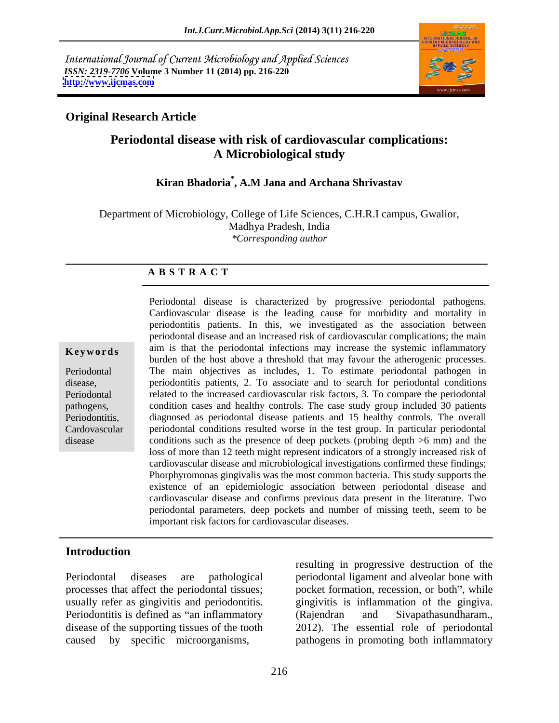International Journal of Current Microbiology and Applied Sciences *ISSN: 2319-7706* **Volume 3 Number 11 (2014) pp. 216-220 <http://www.ijcmas.com>**



### **Original Research Article**

# **Periodontal disease with risk of cardiovascular complications: A Microbiological study**

## **Kiran Bhadoria\* , A.M Jana and Archana Shrivastav**

Department of Microbiology, College of Life Sciences, C.H.R.I campus, Gwalior, Madhya Pradesh, India *\*Corresponding author* 

### **A B S T R A C T**

**Keywords** aim is that the periodontal infections may increase the systemic inflammatory Periodontal The main objectives as includes, 1. To estimate periodontal pathogen in disease, periodontitis patients, 2. To associate and to search for periodontal conditions Periodontal related to the increased cardiovascular risk factors, 3. To compare the periodontal pathogens, condition cases and healthy controls. The case study group included 30 patients Periodontitis, diagnosed as periodontal disease patients and 15 healthy controls. The overall Cardovascular periodontal conditions resulted worse in the test group. In particular periodontal disease conditions such as the presence of deep pockets (probing depth >6 mm) and the Periodontal disease is characterized by progressive periodontal pathogens. Cardiovascular disease is the leading cause for morbidity and mortality in periodontitis patients. In this, we investigated as the association between periodontal disease and an increased risk of cardiovascular complications; the main burden of the host above a threshold that may favour the atherogenic processes. loss of more than 12 teeth might represent indicators of a strongly increased risk of cardiovascular disease and microbiological investigations confirmed these findings; Phorphyromonas gingivalis was the most common bacteria. This study supports the existence of an epidemiologic association between periodontal disease and cardiovascular disease and confirms previous data present in the literature. Two periodontal parameters, deep pockets and number of missing teeth, seem to be important risk factors for cardiovascular diseases.

### **Introduction**

disease of the supporting tissues of the tooth

Periodontal diseases are pathological periodontal ligament and alveolar bone with processes that affect the periodontal tissues; pocket formation, recession, or both", while usually refer as gingivitis and periodontitis. <br>Periodontitis is defined as "an inflammatory (Rajendran and Sivapathasundharam., caused by specific microorganisms, pathogens in promoting both inflammatory resulting in progressive destruction of the gingivitis is inflammation of the gingiva. (Rajendran and Sivapathasundharam., 2012). The essential role of periodontal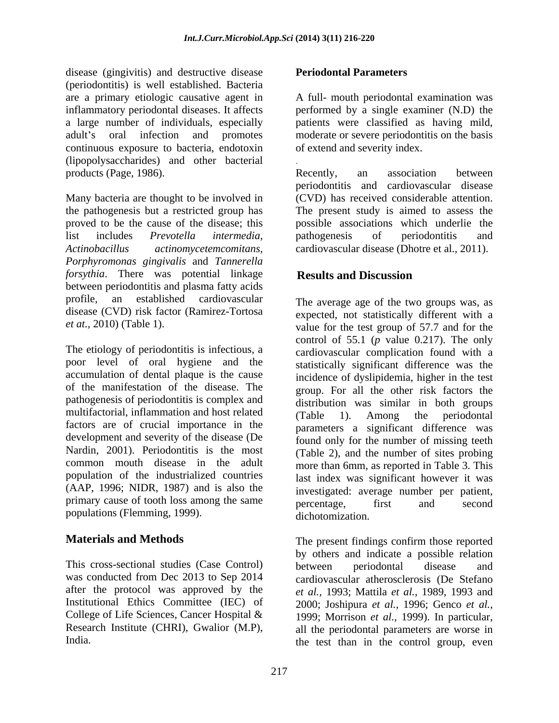disease (gingivitis) and destructive disease Periodontal Parameters (periodontitis) is well established. Bacteria are a primary etiologic causative agent in A full- mouth periodontal examination was inflammatory periodontal diseases. It affects performed by a single examiner (N.D) the a large number of individuals, especially patients were classified as having mild, adult's oral infection and promotes moderate or severe periodontitis on the basis continuous exposure to bacteria, endotoxin (lipopolysaccharides) and other bacterial products (Page, 1986). Recently, an association between

Many bacteria are thought to be involved in the pathogenesis but a restricted group has The present study is aimed to assess the proved to be the cause of the disease; this possible associations which underlie the list includes *Prevotella intermedia, Actinobacillus actinomycetemcomitans,* cardiovascular disease (Dhotre et al., 2011). *Porphyromonas gingivalis* and *Tannerella forsythia*. There was potential linkage **Results and Discussion** between periodontitis and plasma fatty acids profile, an established cardiovascular The average age of the two groups was, as disease (CVD) risk factor (Ramirez-Tortosa

poor level of oral hygiene and the statistically significant difference was the accumulation of dental plaque is the cause of the manifestation of the disease. The group. For all the other risk factors the pathogenesis of periodontitis is complex and multifactorial, inflammation and host related (Table 1). Among the periodontal factors are of crucial importance in the development and severity of the disease (De Nardin, 2001). Periodontitis is the most (Table 2), and the number of sites probing common mouth disease in the adult more than 6mm, as reported in Table 3. This population of the industrialized countries (AAP, 1996; NIDR, 1987) and is also the primary cause of tooth loss among the same between the second second populations (Flemming, 1999). dichotomization.

This cross-sectional studies (Case Control) between periodontal disease and was conducted from Dec 2013 to Sep 2014 College of Life Sciences, Cancer Hospital & Research Institute (CHRI), Gwalior (M.P),

### **Periodontal Parameters**

of extend and severity index.

*.*Recently, an association between periodontitis and cardiovascular disease (CVD) has received considerable attention. pathogenesis of periodontitis and

## **Results and Discussion**

*et at.*, 2010) (Table 1).<br>
value for the test group of 57.7 and for the<br>
control of 55.1 (*p* value 0.217). The only<br>
cardiovascular complication found with a expected, not statistically different with a value for the test group of 57.7 and for the control of 55.1 (*p* value 0.217). The only cardiovascular complication found with a incidence of dyslipidemia, higher in the test distribution was similar in both groups (Table 1). Among the periodontal parameters a significant difference was found only for the number of missing teeth last index was significant however it was investigated: average number per patient, percentage, first and second dichotomization.

**Materials and Methods** The present findings confirm those reported after the protocol was approved by the *et al.,* 1993; Mattila *et al.,* 1989, 1993 and Institutional Ethics Committee (IEC) of 2000; Joshipura *et al.,* 1996; Genco *et al.,* India. The test than in the control group, even by others and indicate a possible relation between periodontal disease and cardiovascular atherosclerosis (De Stefano 1999; Morrison *et al.,* 1999). In particular, all the periodontal parameters are worse in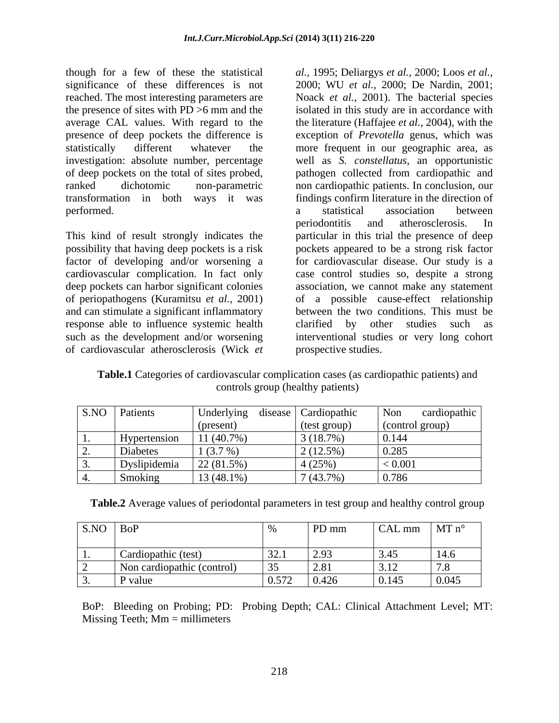though for a few of these the statistical *al.,* 1995; Deliargys *et al.,* 2000; Loos *et al.,*  significance of these differences is not 2000; WU *et al.,* 2000; De Nardin, 2001; reached. The most interesting parameters are Noack *et al.,* 2001). The bacterial species the presence of sites with PD >6 mm and the isolated in this study are in accordance with average CAL values. With regard to the the literature (Haffajee *et al.*, 2004), with the presence of deep pockets the difference is exception of *Prevotella* genus, which was statistically different whatever the more frequent in our geographic area, as investigation: absolute number, percentage well as *S. constellatus*, an opportunistic of deep pockets on the total of sites probed, pathogen collected from cardiopathic and ranked dichotomic non-parametric non cardiopathic patients. In conclusion, our transformation in both ways it was findings confirm literature in the direction of performed. The contract of the statistical association between

of periopathogens (Kuramitsu *et al.,* 2001) and can stimulate a significant inflammatory response able to influence systemic health clarified by other studies such as of cardiovascular atherosclerosis (Wick *et* 

This kind of result strongly indicates the particular in this trial the presence of deep possibility that having deep pockets is a risk pockets appeared to be a strong risk factor factor of developing and/or worsening a for cardiovascular disease. Our study is a cardiovascular complication. In fact only case control studies so, despite a strong deep pockets can harbor significant colonies association, we cannot make any statement such as the development and/or worsening interventional studies or very long cohort a statistical association between periodontitis and atherosclerosis. In of a possible cause-effect relationship between the two conditions. This must be clarified by other studies such as prospective studies.

**Table.1** Categories of cardiovascular complication cases (as cardiopathic patients) and controls group (healthy patients)

|            | S.NO Patients                           | Underlying<br>disease | Cardiopathic | cardiopathic<br>Non |
|------------|-----------------------------------------|-----------------------|--------------|---------------------|
|            |                                         | (present)             | (test group) | (control group)     |
| $\cdots$   | Hypertension                            | $11(40.7\%)$          | $3(18.7\%)$  | 0.144               |
| <u>L</u> . | $\sim$ $\sim$ $\sim$ $\sim$<br>Diabetes | 1(3.7%)               | $2(12.5\%)$  | 0.285               |
| <u>.</u>   | Dyslipidemia                            | $22(81.5\%)$          | 4 (25%       | $\leq 0.001$        |
|            | Smoking                                 | $13(48.1\%)$          | 7(43.7%)     | 0.786               |

| Table.2 Averag<br>values of periodontal parameters in test group<br>$\mu$ calthy $\sim$<br>and<br>.<br>ontrol group<br>ாட |  |
|---------------------------------------------------------------------------------------------------------------------------|--|
|                                                                                                                           |  |
|                                                                                                                           |  |

| S.NO Bol                   |                                                                                                                        | PD mm                   | $\vert$ CAL mm $\vert$ MT n <sup>o</sup> |              |
|----------------------------|------------------------------------------------------------------------------------------------------------------------|-------------------------|------------------------------------------|--------------|
|                            |                                                                                                                        |                         |                                          |              |
| Cardiopathic (test)        | 321<br>$J\mathcal{L}$ . 1                                                                                              | $\sqrt{2}$<br>$\sim$ .) | 3.45                                     | $\vert$ 14.6 |
| Non cardiopathic (control) |                                                                                                                        | 2.81                    | 3.12                                     | 7.8          |
| $\mathbf{D}$ yrous<br>valu | 0.572<br>$\cup \cup \cup \cup \cup$<br>the contract of the contract of the contract of the contract of the contract of | 0.426                   | 0.145                                    | 0.045        |

BoP: Bleeding on Probing; PD: Probing Depth; CAL: Clinical Attachment Level; MT: Missing Teeth;  $Mm =$  millimeters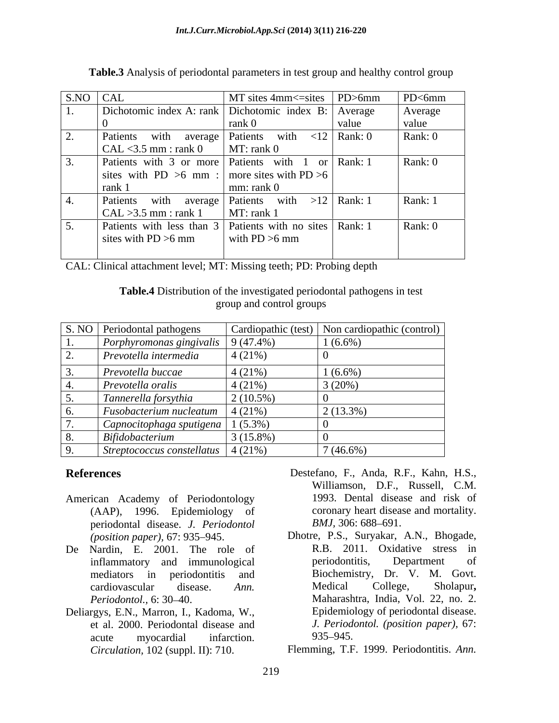| $SNO$ $CAL$                   | $MT$ sites 4mm $\le$ =sites $ PD$ >6mm                   |       | PDC6mm  |
|-------------------------------|----------------------------------------------------------|-------|---------|
|                               | Dichotomic index A: rank   Dichotomic index B:   Average |       | Average |
|                               |                                                          | value | value   |
|                               | Patients with average   Patients with $\lt 12$   Rank: 0 |       | Rank: 0 |
| $\vert$ CAL <3.5 mm : rank 0  | MT: rank 0                                               |       |         |
|                               | Patients with 3 or more Patients with 1 or Rank: 1       |       | Rank: 0 |
|                               | sites with PD >6 mm :   more sites with PD >6            |       |         |
| rank <sup>1</sup>             | mm: rank <sub>0</sub>                                    |       |         |
|                               | Patients with average Patients with $>12$ Rank: 1        |       | Rank: 1 |
| $\vert$ CAL > 3.5 mm : rank 1 | MT: rank 1                                               |       |         |
|                               | Patients with less than 3 Patients with no sites Rank: 1 |       | Rank: 0 |
| sites with PD $>6$ mm         | with $PD > 6$ mm                                         |       |         |
|                               |                                                          |       |         |

**Table.3** Analysis of periodontal parameters in test group and healthy control group

CAL: Clinical attachment level; MT: Missing teeth; PD: Probing depth

**Table.4** Distribution of the investigated periodontal pathogens in test group and control groups

|            | S. NO Periodontal pathogens                        |             | Cardiopathic (test)   Non cardiopathic (control) |
|------------|----------------------------------------------------|-------------|--------------------------------------------------|
| <b>.</b>   | Porphyromonas gingivalis 9 (47.4%)                 |             | $1(6.6\%)$                                       |
| <u>L</u> . | Prevotella intermedia                              | 4(21%)      |                                                  |
|            | Prevotella buccae                                  | 4(21%)      | $1(6.6\%)$                                       |
|            | $Prevotella$ oralis                                | 4(21%)      | 3(20%)                                           |
|            | Tannerella forsythia                               | $2(10.5\%)$ |                                                  |
|            | $\mid$ Fusobacterium nucleatum                     | 4(21%)      | $2(13.3\%)$                                      |
|            | Capnocitophaga sputigena 1 (5.3%)                  |             |                                                  |
| ο.         | Bifidobacterium                                    | $3(15.8\%)$ |                                                  |
|            | $\vert$ Streptococcus constellatus $\vert$ 4 (21%) |             | $17(46.6\%)$                                     |

- American Academy of Periodontology (AAP), 1996. Epidemiology of coronary heart disease oriodontal disease. *J. Periodontol* BMJ, 306: 688–691. periodontal disease. *J. Periodontol*
- De Nardin, E. 2001. The role of
- Deliargys, E.N., Marron, I., Kadoma, W., et al. 2000. Periodontal disease and
- **References** Destefano, F., Anda, R.F., Kahn, H.S., Williamson, D.F., Russell, C.M. 1993. Dental disease and risk of coronary heart disease and mortality. *BMJ*, 306: 688–691.
	- *(position paper),* 67: 935 945. Dhotre, P.S., Suryakar, A.N., Bhogade, inflammatory and immunological mediators in periodontitis and Biochemistry, Dr. V. M. Govt. cardiovascular disease. *Ann. Periodontol.,* 6: 30 40. Maharashtra, India, Vol. 22, no. 2. acute myocardial infarction. 935–945. R.B. 2011. Oxidative stress in periodontitis, Department of Medical College, Sholapur**,** Epidemiology of periodontal disease. *J. Periodontol. (position paper),* 67: 935 945.

*Circulation,* 102 (suppl. II): 710. Flemming, T.F. 1999. Periodontitis. *Ann.*